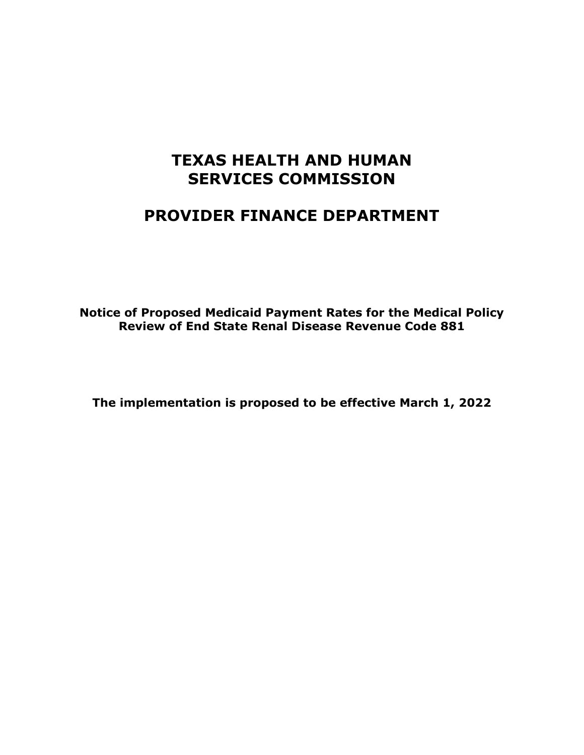# **TEXAS HEALTH AND HUMAN SERVICES COMMISSION**

## **PROVIDER FINANCE DEPARTMENT**

**Notice of Proposed Medicaid Payment Rates for the Medical Policy Review of End State Renal Disease Revenue Code 881**

**The implementation is proposed to be effective March 1, 2022**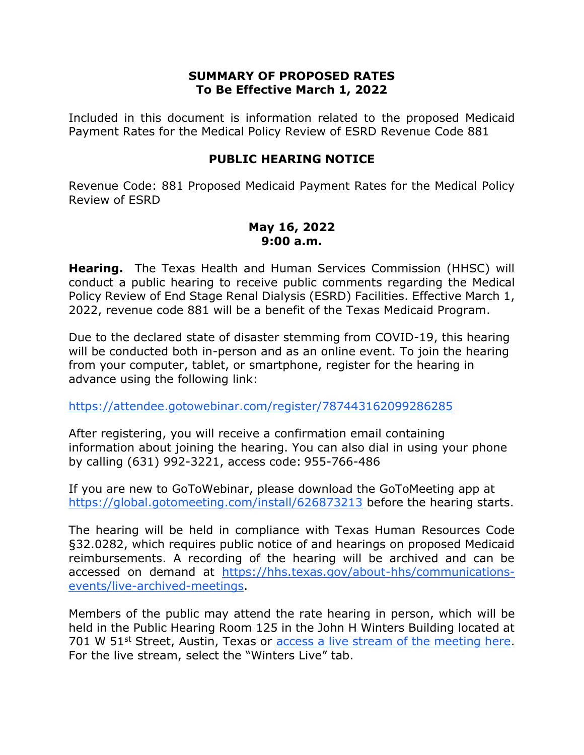## **SUMMARY OF PROPOSED RATES To Be Effective March 1, 2022**

Included in this document is information related to the proposed Medicaid Payment Rates for the Medical Policy Review of ESRD Revenue Code 881

### **PUBLIC HEARING NOTICE**

Revenue Code: 881 Proposed Medicaid Payment Rates for the Medical Policy Review of ESRD

#### **May 16, 2022 9:00 a.m.**

**Hearing.** The Texas Health and Human Services Commission (HHSC) will conduct a public hearing to receive public comments regarding the Medical Policy Review of End Stage Renal Dialysis (ESRD) Facilities. Effective March 1, 2022, revenue code 881 will be a benefit of the Texas Medicaid Program.

Due to the declared state of disaster stemming from COVID-19, this hearing will be conducted both in-person and as an online event. To join the hearing from your computer, tablet, or smartphone, register for the hearing in advance using the following link:

<https://attendee.gotowebinar.com/register/787443162099286285>

After registering, you will receive a confirmation email containing information about joining the hearing. You can also dial in using your phone by calling (631) 992-3221, access code: 955-766-486

If you are new to GoToWebinar, please download the GoToMeeting app at <https://global.gotomeeting.com/install/626873213> before the hearing starts.

The hearing will be held in compliance with Texas Human Resources Code §32.0282, which requires public notice of and hearings on proposed Medicaid reimbursements. A recording of the hearing will be archived and can be accessed on demand at [https://hhs.texas.gov/about-hhs/communications](https://hhs.texas.gov/about-hhs/communications-events/live-archived-meetings)[events/live-archived-meetings.](https://hhs.texas.gov/about-hhs/communications-events/live-archived-meetings)

Members of the public may attend the rate hearing in person, which will be held in the Public Hearing Room 125 in the John H Winters Building located at 701 W 51<sup>st</sup> Street, Austin, Texas or [access a live stream of the meeting here.](https://www.hhs.texas.gov/about-hhs/communications-events/live-archived-meetings) For the live stream, select the "Winters Live" tab.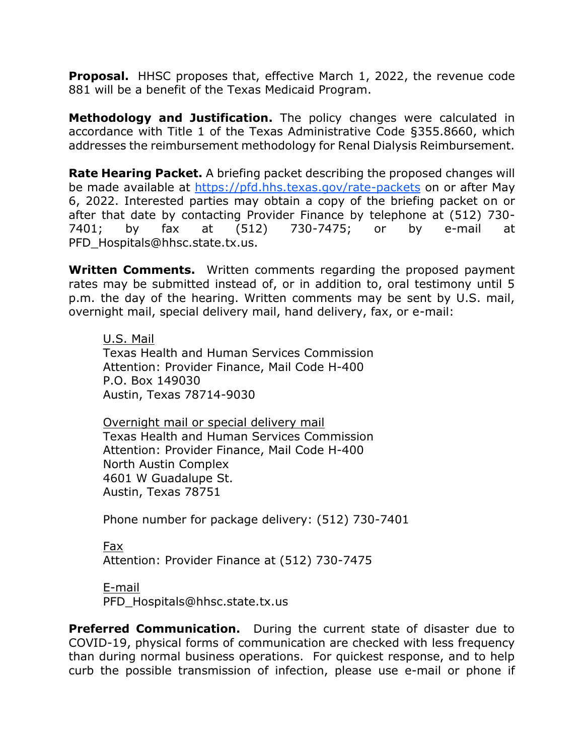**Proposal.** HHSC proposes that, effective March 1, 2022, the revenue code 881 will be a benefit of the Texas Medicaid Program.

**Methodology and Justification.** The policy changes were calculated in accordance with Title 1 of the Texas Administrative Code §355.8660, which addresses the reimbursement methodology for Renal Dialysis Reimbursement.

**Rate Hearing Packet.** A briefing packet describing the proposed changes will be made available at<https://pfd.hhs.texas.gov/rate-packets> on or after May 6, 2022. Interested parties may obtain a copy of the briefing packet on or after that date by contacting Provider Finance by telephone at (512) 730- 7401; by fax at (512) 730-7475; or by e-mail at PFD Hospitals@hhsc.state.tx.us.

**Written Comments.** Written comments regarding the proposed payment rates may be submitted instead of, or in addition to, oral testimony until 5 p.m. the day of the hearing. Written comments may be sent by U.S. mail, overnight mail, special delivery mail, hand delivery, fax, or e-mail:

U.S. Mail Texas Health and Human Services Commission Attention: Provider Finance, Mail Code H-400 P.O. Box 149030 Austin, Texas 78714-9030

Overnight mail or special delivery mail Texas Health and Human Services Commission Attention: Provider Finance, Mail Code H-400 North Austin Complex 4601 W Guadalupe St. Austin, Texas 78751

Phone number for package delivery: (512) 730-7401

Fax Attention: Provider Finance at (512) 730-7475

E-mail PFD Hospitals@hhsc.state.tx.us

**Preferred Communication.** During the current state of disaster due to COVID-19, physical forms of communication are checked with less frequency than during normal business operations. For quickest response, and to help curb the possible transmission of infection, please use e-mail or phone if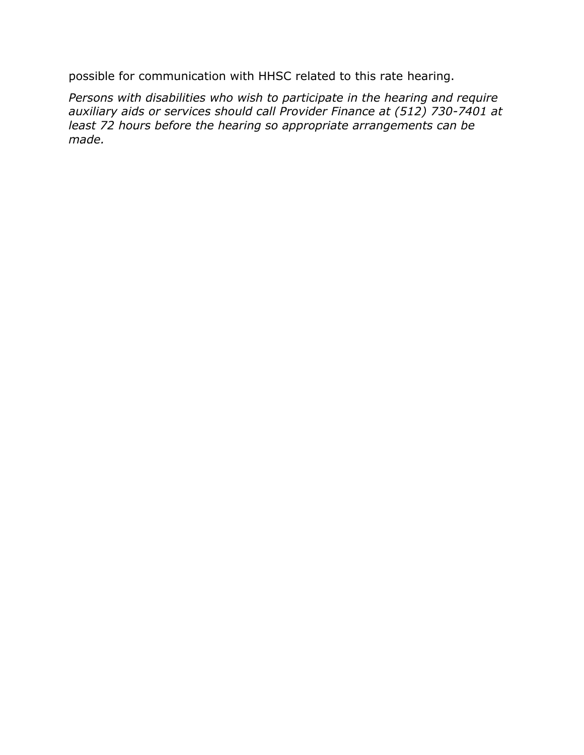possible for communication with HHSC related to this rate hearing.

*Persons with disabilities who wish to participate in the hearing and require auxiliary aids or services should call Provider Finance at (512) 730-7401 at least 72 hours before the hearing so appropriate arrangements can be made.*